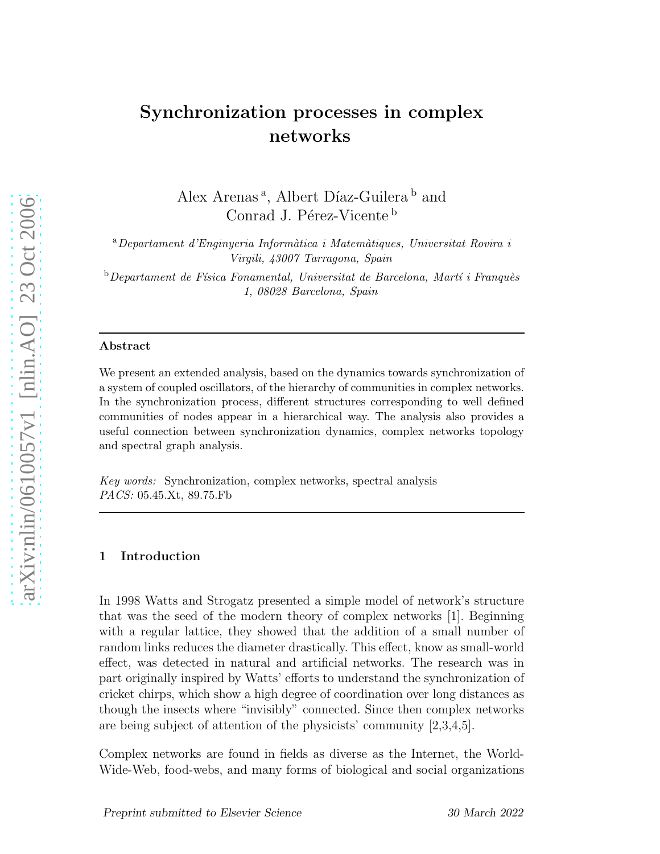# Synchronization processes in complex networks

Alex Arenas<sup>a</sup>, Albert Díaz-Guilera<sup>b</sup> and Conrad J. Pérez-Vicente b

 $a<sup>a</sup> Department$  d'Enginyeria Informàtica i Matemàtiques, Universitat Rovira i Virgili, 43007 Tarragona, Spain

 $b$ Departament de Física Fonamental, Universitat de Barcelona, Martí i Franquès 1, 08028 Barcelona, Spain

#### Abstract

We present an extended analysis, based on the dynamics towards synchronization of a system of coupled oscillators, of the hierarchy of communities in complex networks. In the synchronization process, different structures corresponding to well defined communities of nodes appear in a hierarchical way. The analysis also provides a useful connection between synchronization dynamics, complex networks topology and spectral graph analysis.

Key words: Synchronization, complex networks, spectral analysis PACS: 05.45.Xt, 89.75.Fb

# 1 Introduction

In 1998 Watts and Strogatz presented a simple model of network's structure that was the seed of the modern theory of complex networks [1]. Beginning with a regular lattice, they showed that the addition of a small number of random links reduces the diameter drastically. This effect, know as small-world effect, was detected in natural and artificial networks. The research was in part originally inspired by Watts' efforts to understand the synchronization of cricket chirps, which show a high degree of coordination over long distances as though the insects where "invisibly" connected. Since then complex networks are being subject of attention of the physicists' community [2,3,4,5].

Complex networks are found in fields as diverse as the Internet, the World-Wide-Web, food-webs, and many forms of biological and social organizations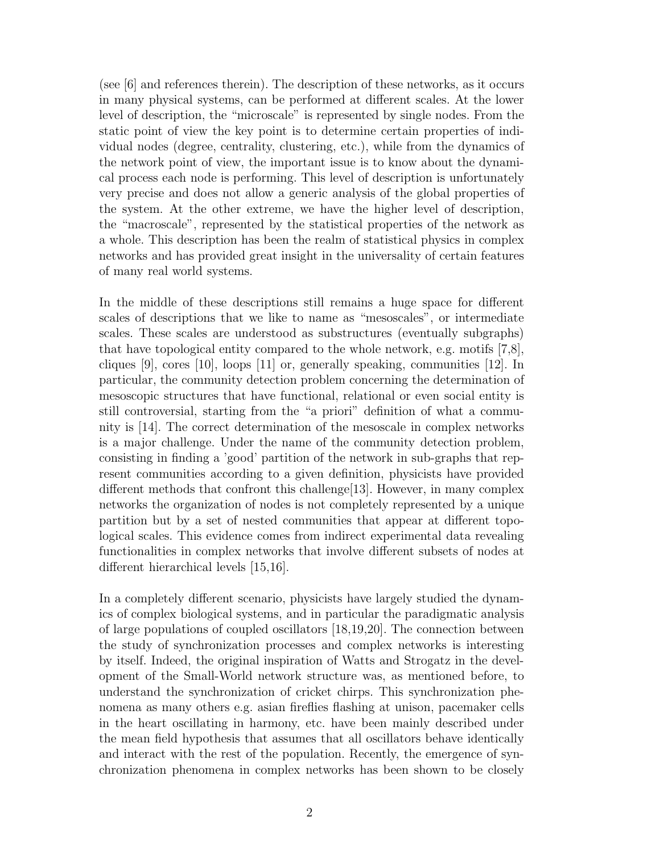(see [6] and references therein). The description of these networks, as it occurs in many physical systems, can be performed at different scales. At the lower level of description, the "microscale" is represented by single nodes. From the static point of view the key point is to determine certain properties of individual nodes (degree, centrality, clustering, etc.), while from the dynamics of the network point of view, the important issue is to know about the dynamical process each node is performing. This level of description is unfortunately very precise and does not allow a generic analysis of the global properties of the system. At the other extreme, we have the higher level of description, the "macroscale", represented by the statistical properties of the network as a whole. This description has been the realm of statistical physics in complex networks and has provided great insight in the universality of certain features of many real world systems.

In the middle of these descriptions still remains a huge space for different scales of descriptions that we like to name as "mesoscales", or intermediate scales. These scales are understood as substructures (eventually subgraphs) that have topological entity compared to the whole network, e.g. motifs [7,8], cliques  $[9]$ , cores  $[10]$ , loops  $[11]$  or, generally speaking, communities  $[12]$ . In particular, the community detection problem concerning the determination of mesoscopic structures that have functional, relational or even social entity is still controversial, starting from the "a priori" definition of what a community is [14]. The correct determination of the mesoscale in complex networks is a major challenge. Under the name of the community detection problem, consisting in finding a 'good' partition of the network in sub-graphs that represent communities according to a given definition, physicists have provided different methods that confront this challenge[13]. However, in many complex networks the organization of nodes is not completely represented by a unique partition but by a set of nested communities that appear at different topological scales. This evidence comes from indirect experimental data revealing functionalities in complex networks that involve different subsets of nodes at different hierarchical levels [15,16].

In a completely different scenario, physicists have largely studied the dynamics of complex biological systems, and in particular the paradigmatic analysis of large populations of coupled oscillators [18,19,20]. The connection between the study of synchronization processes and complex networks is interesting by itself. Indeed, the original inspiration of Watts and Strogatz in the development of the Small-World network structure was, as mentioned before, to understand the synchronization of cricket chirps. This synchronization phenomena as many others e.g. asian fireflies flashing at unison, pacemaker cells in the heart oscillating in harmony, etc. have been mainly described under the mean field hypothesis that assumes that all oscillators behave identically and interact with the rest of the population. Recently, the emergence of synchronization phenomena in complex networks has been shown to be closely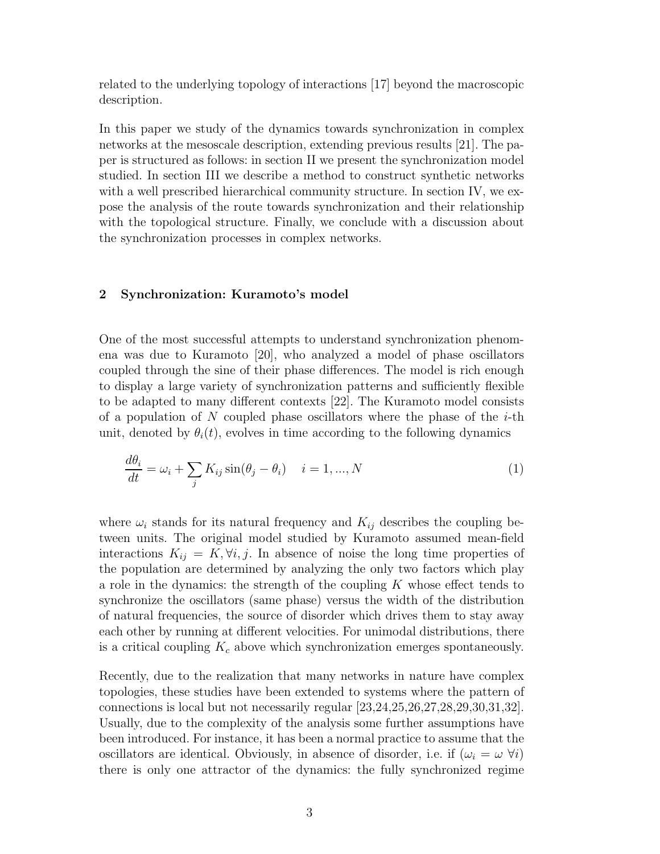related to the underlying topology of interactions [17] beyond the macroscopic description.

In this paper we study of the dynamics towards synchronization in complex networks at the mesoscale description, extending previous results [21]. The paper is structured as follows: in section II we present the synchronization model studied. In section III we describe a method to construct synthetic networks with a well prescribed hierarchical community structure. In section IV, we expose the analysis of the route towards synchronization and their relationship with the topological structure. Finally, we conclude with a discussion about the synchronization processes in complex networks.

# 2 Synchronization: Kuramoto's model

One of the most successful attempts to understand synchronization phenomena was due to Kuramoto [20], who analyzed a model of phase oscillators coupled through the sine of their phase differences. The model is rich enough to display a large variety of synchronization patterns and sufficiently flexible to be adapted to many different contexts [22]. The Kuramoto model consists of a population of N coupled phase oscillators where the phase of the  $i$ -th unit, denoted by  $\theta_i(t)$ , evolves in time according to the following dynamics

$$
\frac{d\theta_i}{dt} = \omega_i + \sum_j K_{ij} \sin(\theta_j - \theta_i) \quad i = 1, ..., N
$$
\n(1)

where  $\omega_i$  stands for its natural frequency and  $K_{ij}$  describes the coupling between units. The original model studied by Kuramoto assumed mean-field interactions  $K_{ij} = K, \forall i, j$ . In absence of noise the long time properties of the population are determined by analyzing the only two factors which play a role in the dynamics: the strength of the coupling  $K$  whose effect tends to synchronize the oscillators (same phase) versus the width of the distribution of natural frequencies, the source of disorder which drives them to stay away each other by running at different velocities. For unimodal distributions, there is a critical coupling  $K_c$  above which synchronization emerges spontaneously.

Recently, due to the realization that many networks in nature have complex topologies, these studies have been extended to systems where the pattern of connections is local but not necessarily regular [23,24,25,26,27,28,29,30,31,32]. Usually, due to the complexity of the analysis some further assumptions have been introduced. For instance, it has been a normal practice to assume that the oscillators are identical. Obviously, in absence of disorder, i.e. if  $(\omega_i = \omega \ \forall i)$ there is only one attractor of the dynamics: the fully synchronized regime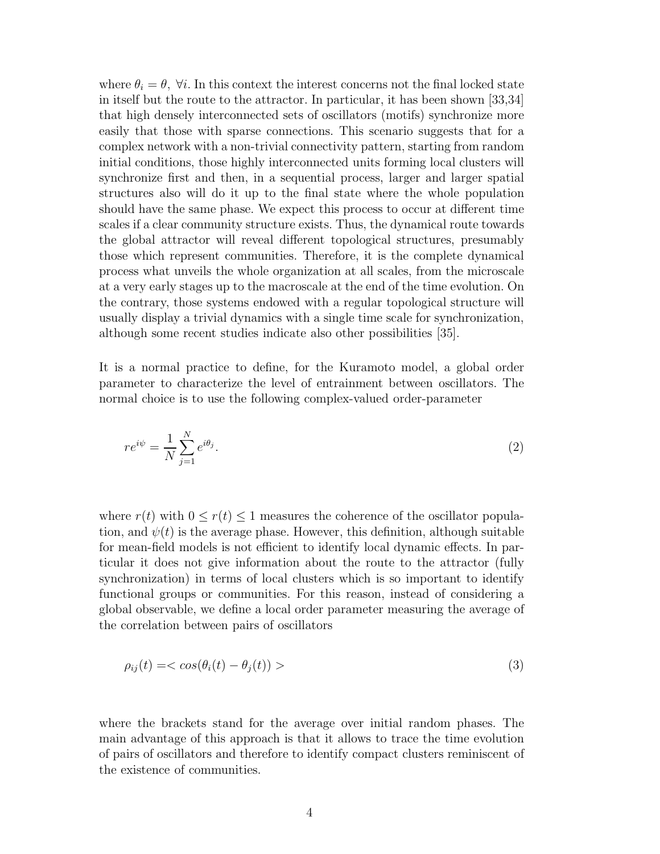where  $\theta_i = \theta$ ,  $\forall i$ . In this context the interest concerns not the final locked state in itself but the route to the attractor. In particular, it has been shown [33,34] that high densely interconnected sets of oscillators (motifs) synchronize more easily that those with sparse connections. This scenario suggests that for a complex network with a non-trivial connectivity pattern, starting from random initial conditions, those highly interconnected units forming local clusters will synchronize first and then, in a sequential process, larger and larger spatial structures also will do it up to the final state where the whole population should have the same phase. We expect this process to occur at different time scales if a clear community structure exists. Thus, the dynamical route towards the global attractor will reveal different topological structures, presumably those which represent communities. Therefore, it is the complete dynamical process what unveils the whole organization at all scales, from the microscale at a very early stages up to the macroscale at the end of the time evolution. On the contrary, those systems endowed with a regular topological structure will usually display a trivial dynamics with a single time scale for synchronization, although some recent studies indicate also other possibilities [35].

It is a normal practice to define, for the Kuramoto model, a global order parameter to characterize the level of entrainment between oscillators. The normal choice is to use the following complex-valued order-parameter

$$
re^{i\psi} = \frac{1}{N} \sum_{j=1}^{N} e^{i\theta_j}.
$$
\n
$$
(2)
$$

where  $r(t)$  with  $0 \leq r(t) \leq 1$  measures the coherence of the oscillator population, and  $\psi(t)$  is the average phase. However, this definition, although suitable for mean-field models is not efficient to identify local dynamic effects. In particular it does not give information about the route to the attractor (fully synchronization) in terms of local clusters which is so important to identify functional groups or communities. For this reason, instead of considering a global observable, we define a local order parameter measuring the average of the correlation between pairs of oscillators

$$
\rho_{ij}(t) = \langle \cos(\theta_i(t) - \theta_j(t)) \rangle \tag{3}
$$

where the brackets stand for the average over initial random phases. The main advantage of this approach is that it allows to trace the time evolution of pairs of oscillators and therefore to identify compact clusters reminiscent of the existence of communities.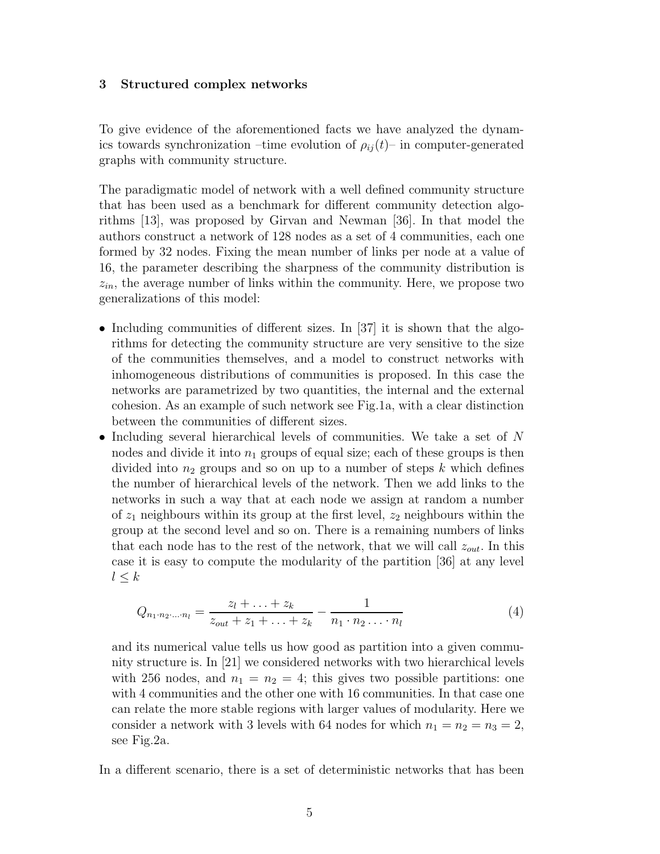#### 3 Structured complex networks

To give evidence of the aforementioned facts we have analyzed the dynamics towards synchronization –time evolution of  $\rho_{ij}(t)$ – in computer-generated graphs with community structure.

The paradigmatic model of network with a well defined community structure that has been used as a benchmark for different community detection algorithms [13], was proposed by Girvan and Newman [36]. In that model the authors construct a network of 128 nodes as a set of 4 communities, each one formed by 32 nodes. Fixing the mean number of links per node at a value of 16, the parameter describing the sharpness of the community distribution is  $z_{in}$ , the average number of links within the community. Here, we propose two generalizations of this model:

- Including communities of different sizes. In [37] it is shown that the algorithms for detecting the community structure are very sensitive to the size of the communities themselves, and a model to construct networks with inhomogeneous distributions of communities is proposed. In this case the networks are parametrized by two quantities, the internal and the external cohesion. As an example of such network see Fig.1a, with a clear distinction between the communities of different sizes.
- Including several hierarchical levels of communities. We take a set of N nodes and divide it into  $n_1$  groups of equal size; each of these groups is then divided into  $n_2$  groups and so on up to a number of steps k which defines the number of hierarchical levels of the network. Then we add links to the networks in such a way that at each node we assign at random a number of  $z_1$  neighbours within its group at the first level,  $z_2$  neighbours within the group at the second level and so on. There is a remaining numbers of links that each node has to the rest of the network, that we will call  $z_{out}$ . In this case it is easy to compute the modularity of the partition [36] at any level  $l \leq k$

$$
Q_{n_1 \cdot n_2 \cdot \ldots \cdot n_l} = \frac{z_l + \ldots + z_k}{z_{out} + z_1 + \ldots + z_k} - \frac{1}{n_1 \cdot n_2 \ldots \cdot n_l} \tag{4}
$$

and its numerical value tells us how good as partition into a given community structure is. In [21] we considered networks with two hierarchical levels with 256 nodes, and  $n_1 = n_2 = 4$ ; this gives two possible partitions: one with 4 communities and the other one with 16 communities. In that case one can relate the more stable regions with larger values of modularity. Here we consider a network with 3 levels with 64 nodes for which  $n_1 = n_2 = n_3 = 2$ , see Fig.2a.

In a different scenario, there is a set of deterministic networks that has been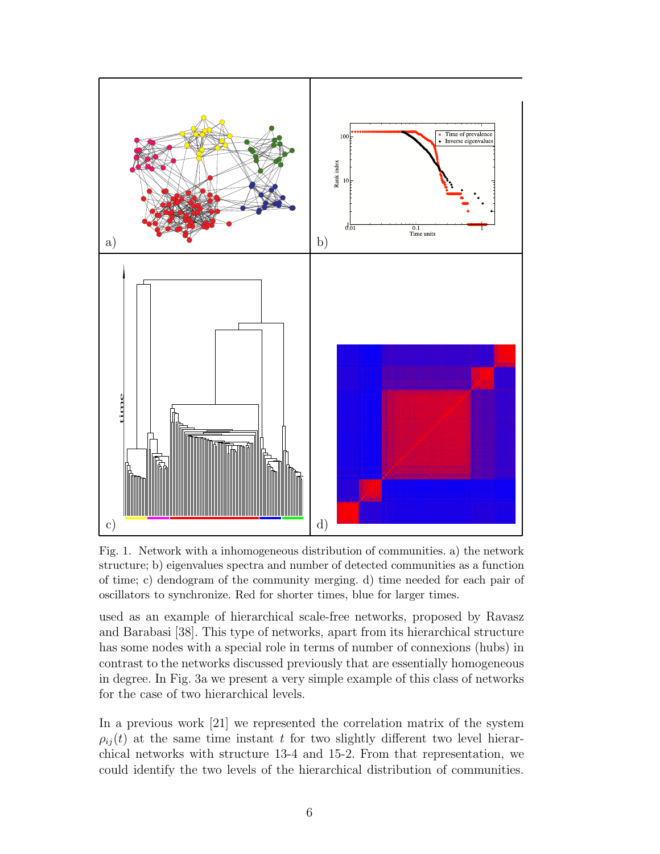

Fig. 1. Network with a inhomogeneous distribution of communities. a) the network structure; b) eigenvalues spectra and number of detected communities as a function of time; c) dendogram of the community merging. d) time needed for each pair of oscillators to synchronize. Red for shorter times, blue for larger times.

used as an example of hierarchical scale-free networks, proposed by Ravasz and Barabasi [38]. This type of networks, apart from its hierarchical structure has some nodes with a special role in terms of number of connexions (hubs) in contrast to the networks discussed previously that are essentially homogeneous in degree. In Fig. 3a we present a very simple example of this class of networks for the case of two hierarchical levels.

In a previous work [21] we represented the correlation matrix of the system  $\rho_{ij}(t)$  at the same time instant t for two slightly different two level hierarchical networks with structure 13-4 and 15-2. From that representation, we could identify the two levels of the hierarchical distribution of communities.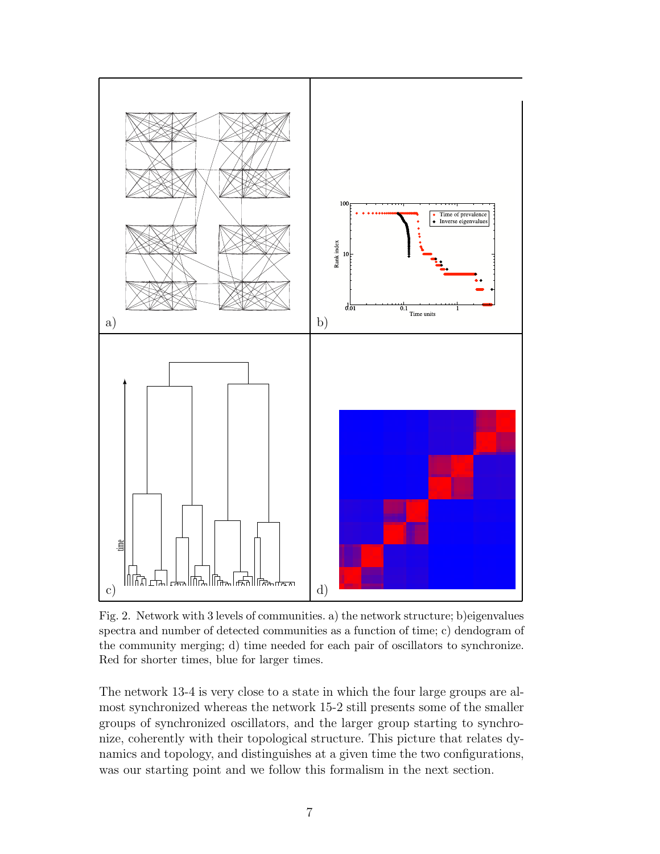

Fig. 2. Network with 3 levels of communities. a) the network structure; b)eigenvalues spectra and number of detected communities as a function of time; c) dendogram of the community merging; d) time needed for each pair of oscillators to synchronize. Red for shorter times, blue for larger times.

The network 13-4 is very close to a state in which the four large groups are almost synchronized whereas the network 15-2 still presents some of the smaller groups of synchronized oscillators, and the larger group starting to synchronize, coherently with their topological structure. This picture that relates dynamics and topology, and distinguishes at a given time the two configurations, was our starting point and we follow this formalism in the next section.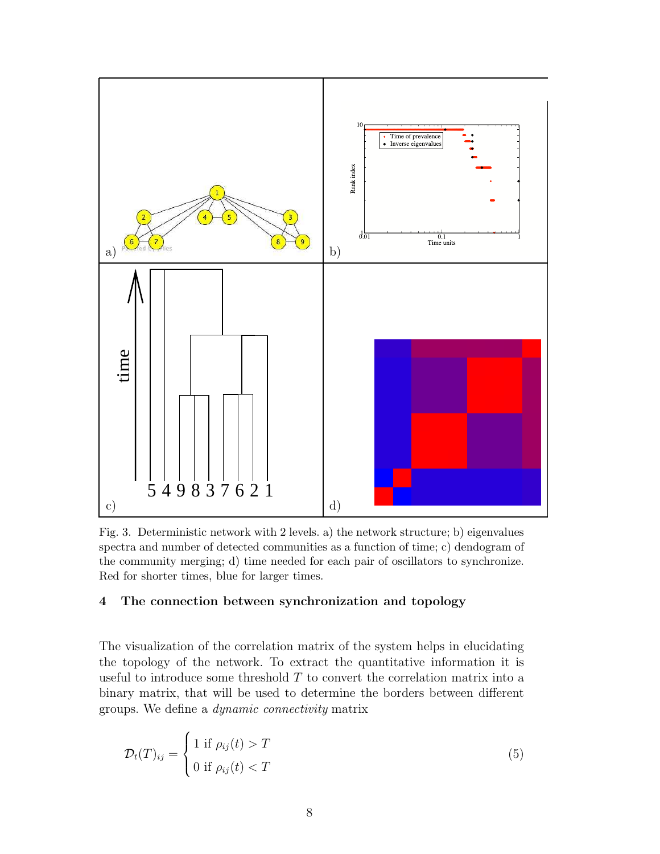

Fig. 3. Deterministic network with 2 levels. a) the network structure; b) eigenvalues spectra and number of detected communities as a function of time; c) dendogram of the community merging; d) time needed for each pair of oscillators to synchronize. Red for shorter times, blue for larger times.

# 4 The connection between synchronization and topology

The visualization of the correlation matrix of the system helps in elucidating the topology of the network. To extract the quantitative information it is useful to introduce some threshold  $T$  to convert the correlation matrix into a binary matrix, that will be used to determine the borders between different groups. We define a dynamic connectivity matrix

$$
\mathcal{D}_t(T)_{ij} = \begin{cases} 1 \text{ if } \rho_{ij}(t) > T \\ 0 \text{ if } \rho_{ij}(t) < T \end{cases}
$$
\n(5)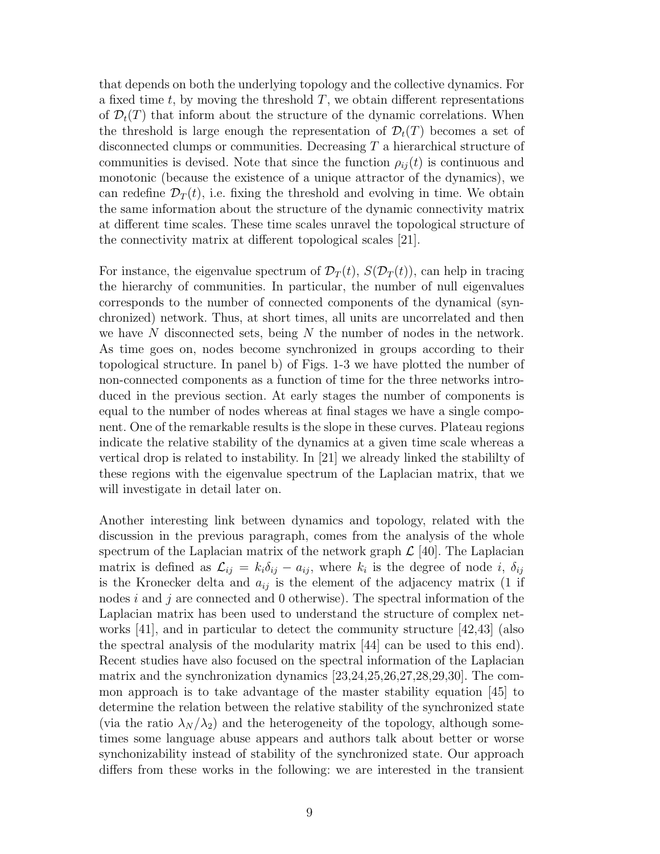that depends on both the underlying topology and the collective dynamics. For a fixed time  $t$ , by moving the threshold  $T$ , we obtain different representations of  $\mathcal{D}_t(T)$  that inform about the structure of the dynamic correlations. When the threshold is large enough the representation of  $\mathcal{D}_t(T)$  becomes a set of disconnected clumps or communities. Decreasing T a hierarchical structure of communities is devised. Note that since the function  $\rho_{ij}(t)$  is continuous and monotonic (because the existence of a unique attractor of the dynamics), we can redefine  $\mathcal{D}_T(t)$ , i.e. fixing the threshold and evolving in time. We obtain the same information about the structure of the dynamic connectivity matrix at different time scales. These time scales unravel the topological structure of the connectivity matrix at different topological scales [21].

For instance, the eigenvalue spectrum of  $\mathcal{D}_T(t)$ ,  $S(\mathcal{D}_T(t))$ , can help in tracing the hierarchy of communities. In particular, the number of null eigenvalues corresponds to the number of connected components of the dynamical (synchronized) network. Thus, at short times, all units are uncorrelated and then we have  $N$  disconnected sets, being  $N$  the number of nodes in the network. As time goes on, nodes become synchronized in groups according to their topological structure. In panel b) of Figs. 1-3 we have plotted the number of non-connected components as a function of time for the three networks introduced in the previous section. At early stages the number of components is equal to the number of nodes whereas at final stages we have a single component. One of the remarkable results is the slope in these curves. Plateau regions indicate the relative stability of the dynamics at a given time scale whereas a vertical drop is related to instability. In [21] we already linked the stabililty of these regions with the eigenvalue spectrum of the Laplacian matrix, that we will investigate in detail later on.

Another interesting link between dynamics and topology, related with the discussion in the previous paragraph, comes from the analysis of the whole spectrum of the Laplacian matrix of the network graph  $\mathcal{L}$  [40]. The Laplacian matrix is defined as  $\mathcal{L}_{ij} = k_i \delta_{ij} - a_{ij}$ , where  $k_i$  is the degree of node i,  $\delta_{ij}$ is the Kronecker delta and  $a_{ij}$  is the element of the adjacency matrix (1 if nodes i and j are connected and  $\theta$  otherwise). The spectral information of the Laplacian matrix has been used to understand the structure of complex networks [41], and in particular to detect the community structure [42,43] (also the spectral analysis of the modularity matrix [44] can be used to this end). Recent studies have also focused on the spectral information of the Laplacian matrix and the synchronization dynamics [23,24,25,26,27,28,29,30]. The common approach is to take advantage of the master stability equation [45] to determine the relation between the relative stability of the synchronized state (via the ratio  $\lambda_N/\lambda_2$ ) and the heterogeneity of the topology, although sometimes some language abuse appears and authors talk about better or worse synchonizability instead of stability of the synchronized state. Our approach differs from these works in the following: we are interested in the transient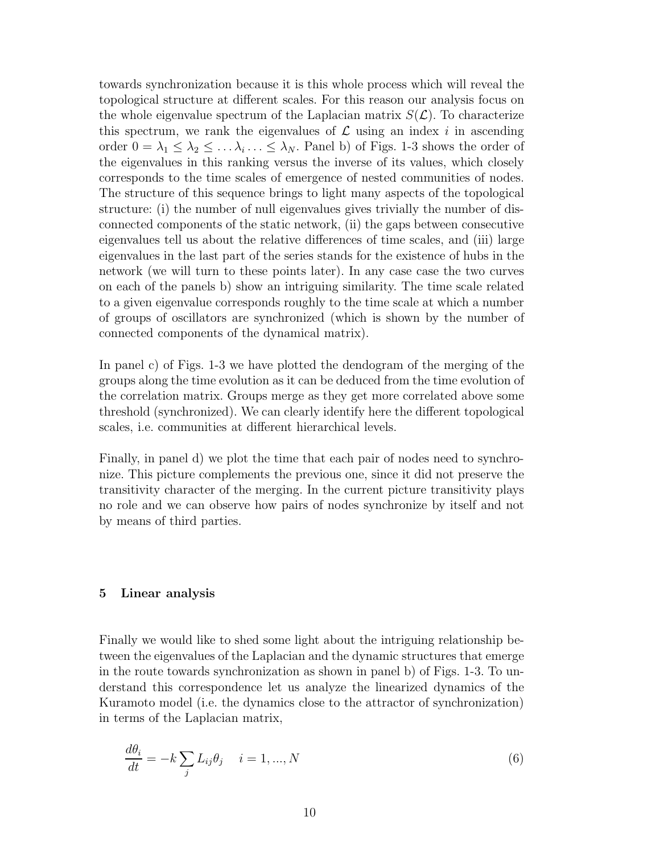towards synchronization because it is this whole process which will reveal the topological structure at different scales. For this reason our analysis focus on the whole eigenvalue spectrum of the Laplacian matrix  $S(\mathcal{L})$ . To characterize this spectrum, we rank the eigenvalues of  $\mathcal L$  using an index i in ascending order  $0 = \lambda_1 \leq \lambda_2 \leq \ldots \lambda_i \ldots \leq \lambda_N$ . Panel b) of Figs. 1-3 shows the order of the eigenvalues in this ranking versus the inverse of its values, which closely corresponds to the time scales of emergence of nested communities of nodes. The structure of this sequence brings to light many aspects of the topological structure: (i) the number of null eigenvalues gives trivially the number of disconnected components of the static network, (ii) the gaps between consecutive eigenvalues tell us about the relative differences of time scales, and (iii) large eigenvalues in the last part of the series stands for the existence of hubs in the network (we will turn to these points later). In any case case the two curves on each of the panels b) show an intriguing similarity. The time scale related to a given eigenvalue corresponds roughly to the time scale at which a number of groups of oscillators are synchronized (which is shown by the number of connected components of the dynamical matrix).

In panel c) of Figs. 1-3 we have plotted the dendogram of the merging of the groups along the time evolution as it can be deduced from the time evolution of the correlation matrix. Groups merge as they get more correlated above some threshold (synchronized). We can clearly identify here the different topological scales, i.e. communities at different hierarchical levels.

Finally, in panel d) we plot the time that each pair of nodes need to synchronize. This picture complements the previous one, since it did not preserve the transitivity character of the merging. In the current picture transitivity plays no role and we can observe how pairs of nodes synchronize by itself and not by means of third parties.

# 5 Linear analysis

Finally we would like to shed some light about the intriguing relationship between the eigenvalues of the Laplacian and the dynamic structures that emerge in the route towards synchronization as shown in panel b) of Figs. 1-3. To understand this correspondence let us analyze the linearized dynamics of the Kuramoto model (i.e. the dynamics close to the attractor of synchronization) in terms of the Laplacian matrix,

$$
\frac{d\theta_i}{dt} = -k \sum_j L_{ij} \theta_j \quad i = 1, ..., N
$$
\n(6)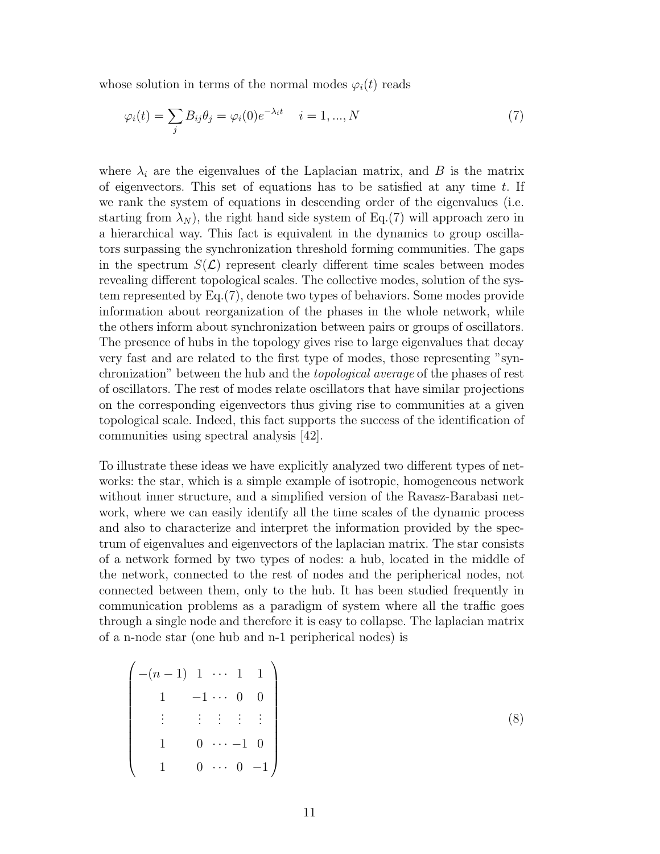whose solution in terms of the normal modes  $\varphi_i(t)$  reads

$$
\varphi_i(t) = \sum_j B_{ij}\theta_j = \varphi_i(0)e^{-\lambda_i t} \quad i = 1, ..., N
$$
\n(7)

where  $\lambda_i$  are the eigenvalues of the Laplacian matrix, and B is the matrix of eigenvectors. This set of equations has to be satisfied at any time  $t$ . If we rank the system of equations in descending order of the eigenvalues (i.e. starting from  $\lambda_N$ , the right hand side system of Eq.(7) will approach zero in a hierarchical way. This fact is equivalent in the dynamics to group oscillators surpassing the synchronization threshold forming communities. The gaps in the spectrum  $S(\mathcal{L})$  represent clearly different time scales between modes revealing different topological scales. The collective modes, solution of the system represented by Eq.(7), denote two types of behaviors. Some modes provide information about reorganization of the phases in the whole network, while the others inform about synchronization between pairs or groups of oscillators. The presence of hubs in the topology gives rise to large eigenvalues that decay very fast and are related to the first type of modes, those representing "synchronization" between the hub and the topological average of the phases of rest of oscillators. The rest of modes relate oscillators that have similar projections on the corresponding eigenvectors thus giving rise to communities at a given topological scale. Indeed, this fact supports the success of the identification of communities using spectral analysis [42].

To illustrate these ideas we have explicitly analyzed two different types of networks: the star, which is a simple example of isotropic, homogeneous network without inner structure, and a simplified version of the Ravasz-Barabasi network, where we can easily identify all the time scales of the dynamic process and also to characterize and interpret the information provided by the spectrum of eigenvalues and eigenvectors of the laplacian matrix. The star consists of a network formed by two types of nodes: a hub, located in the middle of the network, connected to the rest of nodes and the peripherical nodes, not connected between them, only to the hub. It has been studied frequently in communication problems as a paradigm of system where all the traffic goes through a single node and therefore it is easy to collapse. The laplacian matrix of a n-node star (one hub and n-1 peripherical nodes) is

$$
\begin{pmatrix}\n-(n-1) & 1 & \cdots & 1 & 1 \\
1 & -1 & \cdots & 0 & 0 \\
\vdots & \vdots & \vdots & \vdots & \vdots \\
1 & 0 & \cdots & -1 & 0 \\
1 & 0 & \cdots & 0 & -1\n\end{pmatrix}
$$
\n(8)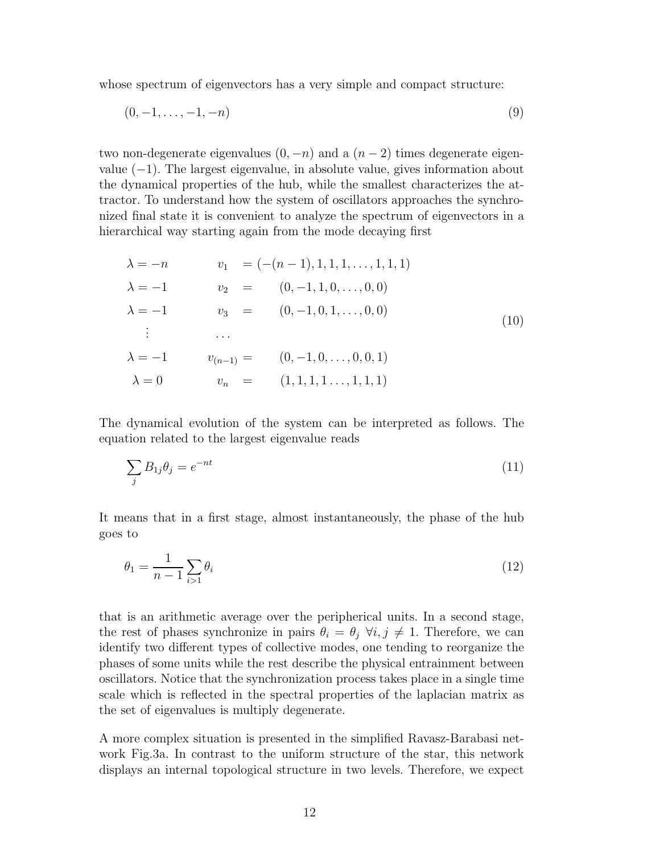whose spectrum of eigenvectors has a very simple and compact structure:

$$
(0, -1, \ldots, -1, -n) \tag{9}
$$

two non-degenerate eigenvalues  $(0, -n)$  and a  $(n-2)$  times degenerate eigenvalue (−1). The largest eigenvalue, in absolute value, gives information about the dynamical properties of the hub, while the smallest characterizes the attractor. To understand how the system of oscillators approaches the synchronized final state it is convenient to analyze the spectrum of eigenvectors in a hierarchical way starting again from the mode decaying first

$$
\lambda = -n \qquad v_1 = (-(n-1), 1, 1, 1, ..., 1, 1, 1)
$$
  
\n
$$
\lambda = -1 \qquad v_2 = (0, -1, 1, 0, ..., 0, 0)
$$
  
\n
$$
\lambda = -1 \qquad v_3 = (0, -1, 0, 1, ..., 0, 0)
$$
  
\n
$$
\vdots \qquad \dots
$$
  
\n
$$
\lambda = -1 \qquad v_{(n-1)} = (0, -1, 0, ..., 0, 0, 1)
$$
  
\n
$$
\lambda = 0 \qquad v_n = (1, 1, 1, ..., 1, 1, 1)
$$
  
\n(10)

The dynamical evolution of the system can be interpreted as follows. The equation related to the largest eigenvalue reads

$$
\sum_{j} B_{1j} \theta_j = e^{-nt} \tag{11}
$$

It means that in a first stage, almost instantaneously, the phase of the hub goes to

$$
\theta_1 = \frac{1}{n-1} \sum_{i>1} \theta_i \tag{12}
$$

that is an arithmetic average over the peripherical units. In a second stage, the rest of phases synchronize in pairs  $\theta_i = \theta_j \ \forall i, j \neq 1$ . Therefore, we can identify two different types of collective modes, one tending to reorganize the phases of some units while the rest describe the physical entrainment between oscillators. Notice that the synchronization process takes place in a single time scale which is reflected in the spectral properties of the laplacian matrix as the set of eigenvalues is multiply degenerate.

A more complex situation is presented in the simplified Ravasz-Barabasi network Fig.3a. In contrast to the uniform structure of the star, this network displays an internal topological structure in two levels. Therefore, we expect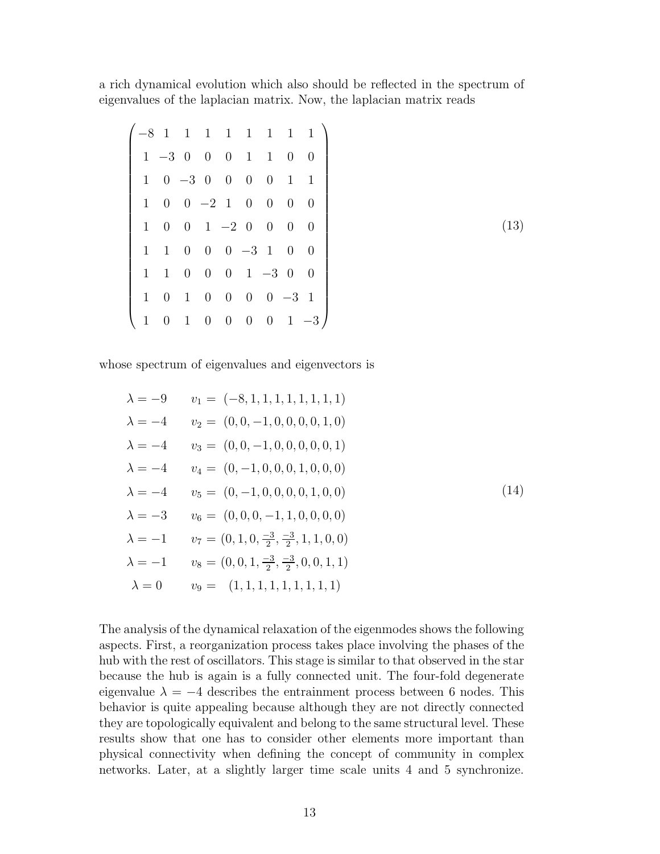a rich dynamical evolution which also should be reflected in the spectrum of eigenvalues of the laplacian matrix. Now, the laplacian matrix reads

|              |                                    |  |                          |                                                                      |             | $-8$ 1 1 1 1 1 1 1 1 1 |
|--------------|------------------------------------|--|--------------------------|----------------------------------------------------------------------|-------------|------------------------|
|              |                                    |  |                          | $1 -3 0 0 0 1 1 0 0$                                                 |             |                        |
|              | $1 \t 0 \t -3 \t 0 \t 0 \t 0 \t 0$ |  |                          |                                                                      | $1 \quad 1$ |                        |
|              |                                    |  |                          | $1 \t0 \t0 \t-2 \t1 \t0 \t0 \t0 \t0$                                 |             |                        |
|              |                                    |  |                          | $1 \t0 \t0 \t1 \t-2 \t0 \t0 \t0 \t0$                                 |             |                        |
|              |                                    |  |                          | $1 \quad 1 \quad 0 \quad 0 \quad 0 \quad -3 \quad 1 \quad 0 \quad 0$ |             |                        |
|              |                                    |  |                          | $1\quad 1\quad 0\quad 0\quad 0\quad 1\quad -3\quad 0\quad 0$         |             |                        |
|              |                                    |  |                          | $1 \t0 \t1 \t0 \t0 \t0 \t0 \t-3 \t1$                                 |             |                        |
| $\mathbf{1}$ | $0 \quad 1 \quad 0 \quad 0$        |  | $\overline{\phantom{0}}$ |                                                                      |             | $0 \t 1 \t -3$         |

whose spectrum of eigenvalues and eigenvectors is

λ = −9 v<sup>1</sup> = (−8, 1, 1, 1, 1, 1, 1, 1, 1) λ = −4 v<sup>2</sup> = (0, 0, −1, 0, 0, 0, 0, 1, 0) λ = −4 v<sup>3</sup> = (0, 0, −1, 0, 0, 0, 0, 0, 1) λ = −4 v<sup>4</sup> = (0, −1, 0, 0, 0, 1, 0, 0, 0) λ = −4 v<sup>5</sup> = (0, −1, 0, 0, 0, 0, 1, 0, 0) λ = −3 v<sup>6</sup> = (0, 0, 0, −1, 1, 0, 0, 0, 0) λ = −1 v<sup>7</sup> = (0, 1, 0, −3 2 , −3 2 , 1, 1, 0, 0) λ = −1 v<sup>8</sup> = (0, 0, 1, −3 2 , −3 2 , 0, 0, 1, 1) λ = 0 v<sup>9</sup> = (1, 1, 1, 1, 1, 1, 1, 1, 1) (14)

The analysis of the dynamical relaxation of the eigenmodes shows the following aspects. First, a reorganization process takes place involving the phases of the hub with the rest of oscillators. This stage is similar to that observed in the star because the hub is again is a fully connected unit. The four-fold degenerate eigenvalue  $\lambda = -4$  describes the entrainment process between 6 nodes. This behavior is quite appealing because although they are not directly connected they are topologically equivalent and belong to the same structural level. These results show that one has to consider other elements more important than physical connectivity when defining the concept of community in complex networks. Later, at a slightly larger time scale units 4 and 5 synchronize.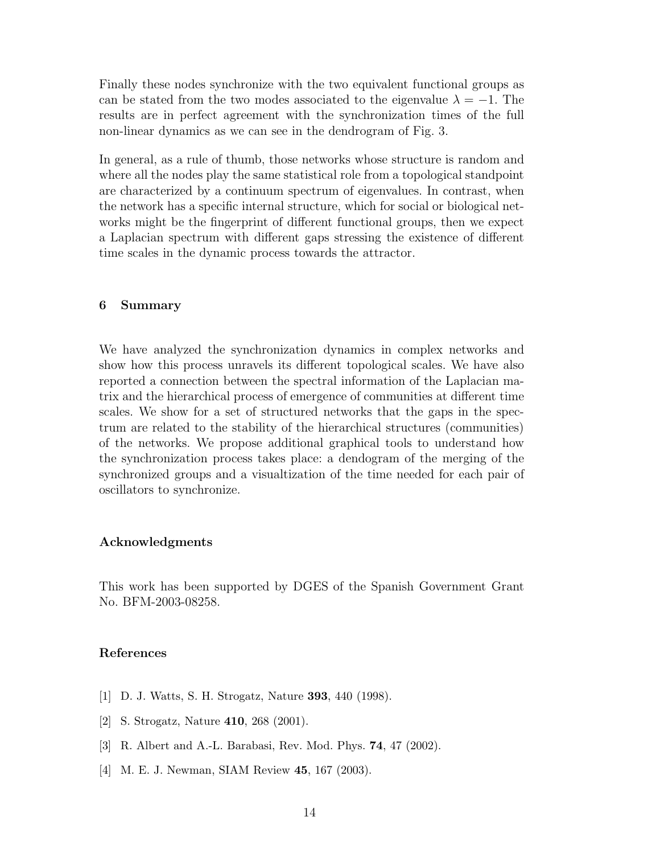Finally these nodes synchronize with the two equivalent functional groups as can be stated from the two modes associated to the eigenvalue  $\lambda = -1$ . The results are in perfect agreement with the synchronization times of the full non-linear dynamics as we can see in the dendrogram of Fig. 3.

In general, as a rule of thumb, those networks whose structure is random and where all the nodes play the same statistical role from a topological standpoint are characterized by a continuum spectrum of eigenvalues. In contrast, when the network has a specific internal structure, which for social or biological networks might be the fingerprint of different functional groups, then we expect a Laplacian spectrum with different gaps stressing the existence of different time scales in the dynamic process towards the attractor.

# 6 Summary

We have analyzed the synchronization dynamics in complex networks and show how this process unravels its different topological scales. We have also reported a connection between the spectral information of the Laplacian matrix and the hierarchical process of emergence of communities at different time scales. We show for a set of structured networks that the gaps in the spectrum are related to the stability of the hierarchical structures (communities) of the networks. We propose additional graphical tools to understand how the synchronization process takes place: a dendogram of the merging of the synchronized groups and a visualtization of the time needed for each pair of oscillators to synchronize.

# Acknowledgments

This work has been supported by DGES of the Spanish Government Grant No. BFM-2003-08258.

# References

- [1] D. J. Watts, S. H. Strogatz, Nature 393, 440 (1998).
- [2] S. Strogatz, Nature 410, 268 (2001).
- [3] R. Albert and A.-L. Barabasi, Rev. Mod. Phys. 74, 47 (2002).
- [4] M. E. J. Newman, SIAM Review 45, 167 (2003).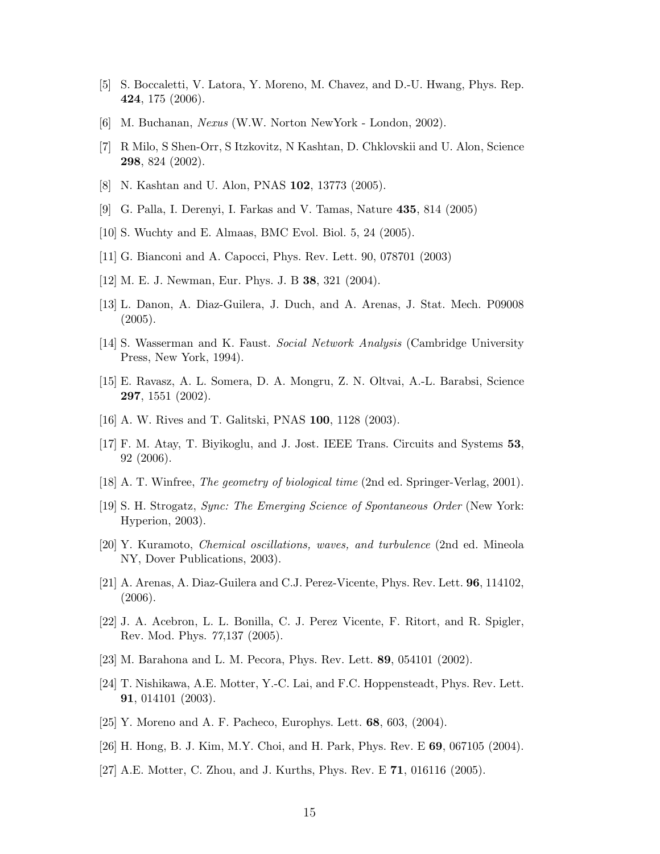- [5] S. Boccaletti, V. Latora, Y. Moreno, M. Chavez, and D.-U. Hwang, Phys. Rep. 424, 175 (2006).
- [6] M. Buchanan, Nexus (W.W. Norton NewYork London, 2002).
- [7] R Milo, S Shen-Orr, S Itzkovitz, N Kashtan, D. Chklovskii and U. Alon, Science 298, 824 (2002).
- [8] N. Kashtan and U. Alon, PNAS 102, 13773 (2005).
- [9] G. Palla, I. Derenyi, I. Farkas and V. Tamas, Nature 435, 814 (2005)
- [10] S. Wuchty and E. Almaas, BMC Evol. Biol. 5, 24 (2005).
- [11] G. Bianconi and A. Capocci, Phys. Rev. Lett. 90, 078701 (2003)
- [12] M. E. J. Newman, Eur. Phys. J. B 38, 321 (2004).
- [13] L. Danon, A. Diaz-Guilera, J. Duch, and A. Arenas, J. Stat. Mech. P09008 (2005).
- [14] S. Wasserman and K. Faust. Social Network Analysis (Cambridge University Press, New York, 1994).
- [15] E. Ravasz, A. L. Somera, D. A. Mongru, Z. N. Oltvai, A.-L. Barabsi, Science 297, 1551 (2002).
- [16] A. W. Rives and T. Galitski, PNAS 100, 1128 (2003).
- [17] F. M. Atay, T. Biyikoglu, and J. Jost. IEEE Trans. Circuits and Systems 53, 92 (2006).
- [18] A. T. Winfree, The geometry of biological time (2nd ed. Springer-Verlag, 2001).
- [19] S. H. Strogatz, Sync: The Emerging Science of Spontaneous Order (New York: Hyperion, 2003).
- [20] Y. Kuramoto, Chemical oscillations, waves, and turbulence (2nd ed. Mineola NY, Dover Publications, 2003).
- [21] A. Arenas, A. Diaz-Guilera and C.J. Perez-Vicente, Phys. Rev. Lett. 96, 114102, (2006).
- [22] J. A. Acebron, L. L. Bonilla, C. J. Perez Vicente, F. Ritort, and R. Spigler, Rev. Mod. Phys. 77,137 (2005).
- [23] M. Barahona and L. M. Pecora, Phys. Rev. Lett. 89, 054101 (2002).
- [24] T. Nishikawa, A.E. Motter, Y.-C. Lai, and F.C. Hoppensteadt, Phys. Rev. Lett. 91, 014101 (2003).
- [25] Y. Moreno and A. F. Pacheco, Europhys. Lett. 68, 603, (2004).
- [26] H. Hong, B. J. Kim, M.Y. Choi, and H. Park, Phys. Rev. E 69, 067105 (2004).
- [27] A.E. Motter, C. Zhou, and J. Kurths, Phys. Rev. E 71, 016116 (2005).